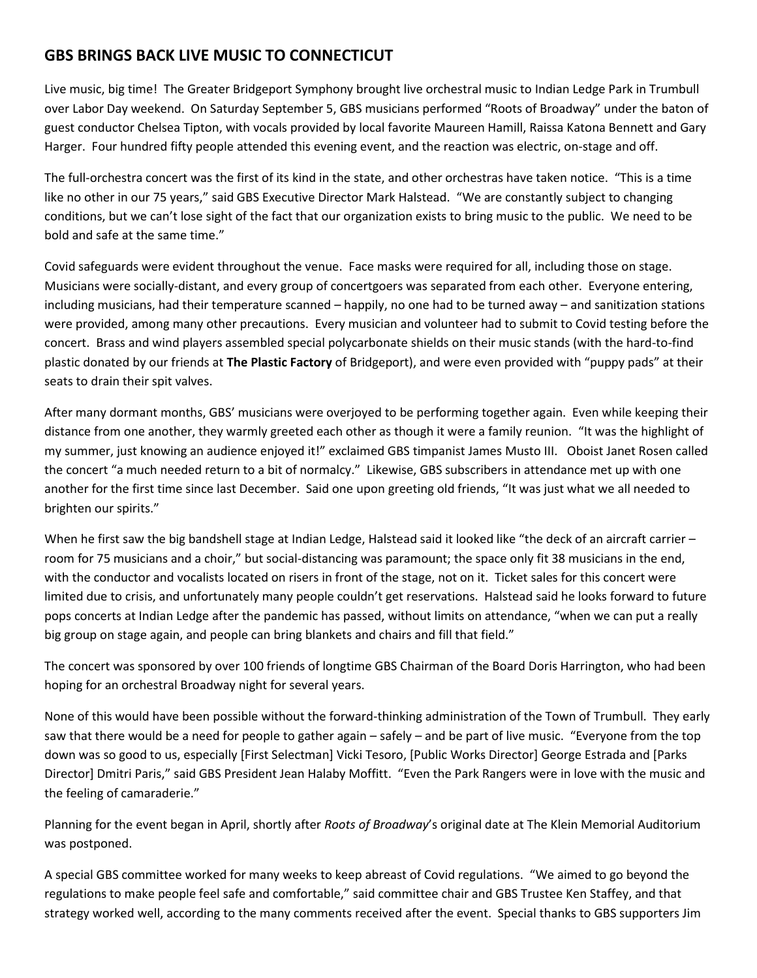## **GBS BRINGS BACK LIVE MUSIC TO CONNECTICUT**

Live music, big time! The Greater Bridgeport Symphony brought live orchestral music to Indian Ledge Park in Trumbull over Labor Day weekend. On Saturday September 5, GBS musicians performed "Roots of Broadway" under the baton of guest conductor Chelsea Tipton, with vocals provided by local favorite Maureen Hamill, Raissa Katona Bennett and Gary Harger. Four hundred fifty people attended this evening event, and the reaction was electric, on-stage and off.

The full-orchestra concert was the first of its kind in the state, and other orchestras have taken notice. "This is a time like no other in our 75 years," said GBS Executive Director Mark Halstead. "We are constantly subject to changing conditions, but we can't lose sight of the fact that our organization exists to bring music to the public. We need to be bold and safe at the same time."

Covid safeguards were evident throughout the venue. Face masks were required for all, including those on stage. Musicians were socially-distant, and every group of concertgoers was separated from each other. Everyone entering, including musicians, had their temperature scanned – happily, no one had to be turned away – and sanitization stations were provided, among many other precautions. Every musician and volunteer had to submit to Covid testing before the concert. Brass and wind players assembled special polycarbonate shields on their music stands (with the hard-to-find plastic donated by our friends at **The Plastic Factory** of Bridgeport), and were even provided with "puppy pads" at their seats to drain their spit valves.

After many dormant months, GBS' musicians were overjoyed to be performing together again. Even while keeping their distance from one another, they warmly greeted each other as though it were a family reunion. "It was the highlight of my summer, just knowing an audience enjoyed it!" exclaimed GBS timpanist James Musto III. Oboist Janet Rosen called the concert "a much needed return to a bit of normalcy." Likewise, GBS subscribers in attendance met up with one another for the first time since last December. Said one upon greeting old friends, "It was just what we all needed to brighten our spirits."

When he first saw the big bandshell stage at Indian Ledge, Halstead said it looked like "the deck of an aircraft carrier – room for 75 musicians and a choir," but social-distancing was paramount; the space only fit 38 musicians in the end, with the conductor and vocalists located on risers in front of the stage, not on it. Ticket sales for this concert were limited due to crisis, and unfortunately many people couldn't get reservations. Halstead said he looks forward to future pops concerts at Indian Ledge after the pandemic has passed, without limits on attendance, "when we can put a really big group on stage again, and people can bring blankets and chairs and fill that field."

The concert was sponsored by over 100 friends of longtime GBS Chairman of the Board Doris Harrington, who had been hoping for an orchestral Broadway night for several years.

None of this would have been possible without the forward-thinking administration of the Town of Trumbull. They early saw that there would be a need for people to gather again – safely – and be part of live music. "Everyone from the top down was so good to us, especially [First Selectman] Vicki Tesoro, [Public Works Director] George Estrada and [Parks Director] Dmitri Paris," said GBS President Jean Halaby Moffitt. "Even the Park Rangers were in love with the music and the feeling of camaraderie."

Planning for the event began in April, shortly after *Roots of Broadway*'s original date at The Klein Memorial Auditorium was postponed.

A special GBS committee worked for many weeks to keep abreast of Covid regulations. "We aimed to go beyond the regulations to make people feel safe and comfortable," said committee chair and GBS Trustee Ken Staffey, and that strategy worked well, according to the many comments received after the event. Special thanks to GBS supporters Jim